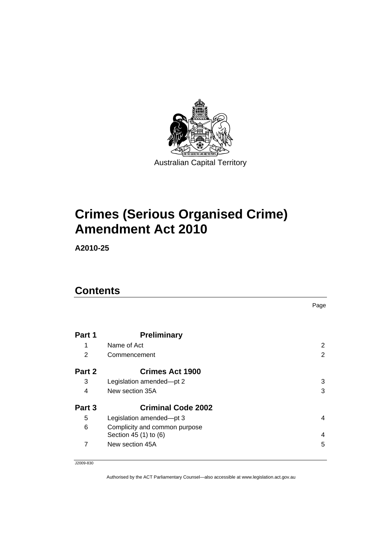

# **[Crimes \(Serious Organised Crime\)](#page-2-0)  [Amendment Act 2010](#page-2-0)**

**A2010-25** 

# **Contents**

|        |                                                        | Page           |
|--------|--------------------------------------------------------|----------------|
|        |                                                        |                |
| Part 1 | <b>Preliminary</b>                                     |                |
| 1      | Name of Act                                            | 2              |
| 2      | Commencement                                           | $\overline{2}$ |
| Part 2 | <b>Crimes Act 1900</b>                                 |                |
| 3      | Legislation amended-pt 2                               | 3              |
| 4      | New section 35A                                        | 3              |
| Part 3 | <b>Criminal Code 2002</b>                              |                |
| 5      | Legislation amended-pt 3                               | 4              |
| 6      | Complicity and common purpose<br>Section 45 (1) to (6) | 4              |
| 7      | New section 45A                                        | 5              |

J2009-830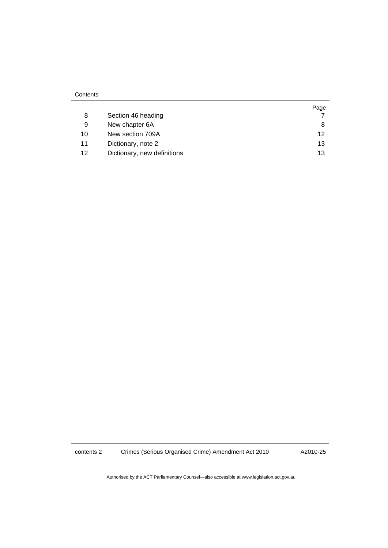|    |                             | Page |
|----|-----------------------------|------|
| 8  | Section 46 heading          |      |
| 9  | New chapter 6A              | 8    |
| 10 | New section 709A            | 12   |
| 11 | Dictionary, note 2          | 13   |
| 12 | Dictionary, new definitions | 13   |

contents 2 Crimes (Serious Organised Crime) Amendment Act 2010

A2010-25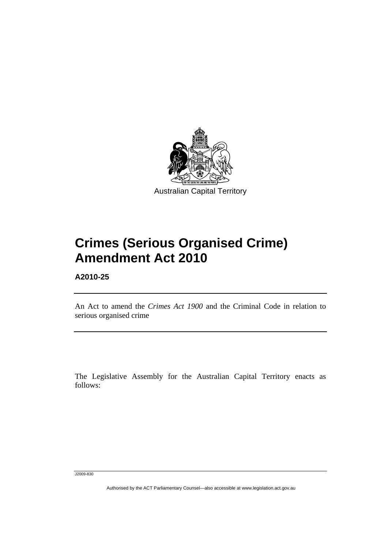<span id="page-2-0"></span>

# **Crimes (Serious Organised Crime) Amendment Act 2010**

**A2010-25** 

l

An Act to amend the *Crimes Act 1900* and the Criminal Code in relation to serious organised crime

The Legislative Assembly for the Australian Capital Territory enacts as follows:

J2009-830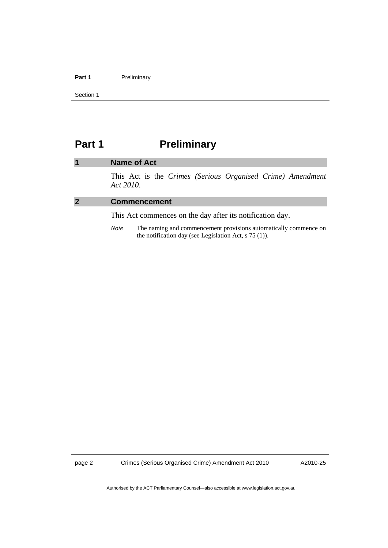#### <span id="page-3-0"></span>Part 1 **Preliminary**

Section 1

# Part 1 **Preliminary**

### **1 Name of Act**

This Act is the *Crimes (Serious Organised Crime) Amendment Act 2010*.

#### **2 Commencement**

This Act commences on the day after its notification day.

*Note* The naming and commencement provisions automatically commence on the notification day (see Legislation Act, s 75 (1)).

page 2 Crimes (Serious Organised Crime) Amendment Act 2010

A2010-25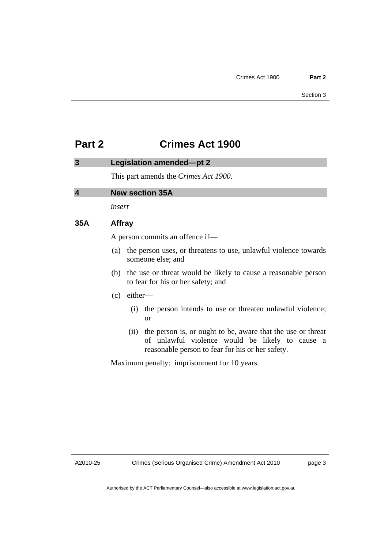# <span id="page-4-0"></span>**Part 2 Crimes Act 1900**

| 3                       |        |                                                                                                          | Legislation amended-pt 2                                                                                                                                           |  |  |
|-------------------------|--------|----------------------------------------------------------------------------------------------------------|--------------------------------------------------------------------------------------------------------------------------------------------------------------------|--|--|
|                         |        |                                                                                                          | This part amends the Crimes Act 1900.                                                                                                                              |  |  |
| $\overline{\mathbf{4}}$ |        | <b>New section 35A</b>                                                                                   |                                                                                                                                                                    |  |  |
|                         | insert |                                                                                                          |                                                                                                                                                                    |  |  |
| 35A                     |        | <b>Affray</b>                                                                                            |                                                                                                                                                                    |  |  |
|                         |        | A person commits an offence if—                                                                          |                                                                                                                                                                    |  |  |
|                         |        |                                                                                                          | (a) the person uses, or threatens to use, unlawful violence towards<br>someone else; and                                                                           |  |  |
|                         |        | (b) the use or threat would be likely to cause a reasonable person<br>to fear for his or her safety; and |                                                                                                                                                                    |  |  |
|                         | (c)    | either-                                                                                                  |                                                                                                                                                                    |  |  |
|                         |        | (i)                                                                                                      | the person intends to use or threaten unlawful violence;<br><b>or</b>                                                                                              |  |  |
|                         |        | (ii)                                                                                                     | the person is, or ought to be, aware that the use or threat<br>of unlawful violence would be likely to cause a<br>reasonable person to fear for his or her safety. |  |  |
|                         |        |                                                                                                          | Maximum penalty: imprisonment for 10 years.                                                                                                                        |  |  |

A2010-25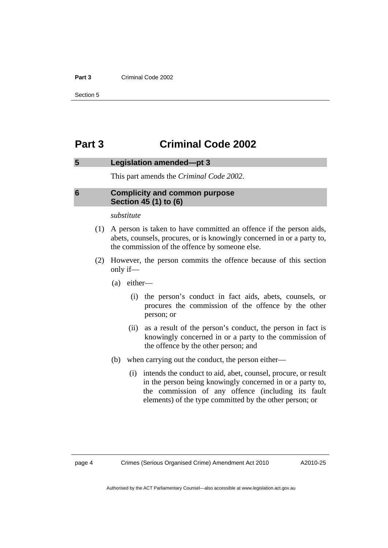#### <span id="page-5-0"></span>**Part 3** Criminal Code 2002

Section 5

# **Part 3 Criminal Code 2002**

### **5 Legislation amended—pt 3**

This part amends the *Criminal Code 2002*.

# **6 Complicity and common purpose Section 45 (1) to (6)**

#### *substitute*

- (1) A person is taken to have committed an offence if the person aids, abets, counsels, procures, or is knowingly concerned in or a party to, the commission of the offence by someone else.
- (2) However, the person commits the offence because of this section only if—
	- (a) either—
		- (i) the person's conduct in fact aids, abets, counsels, or procures the commission of the offence by the other person; or
		- (ii) as a result of the person's conduct, the person in fact is knowingly concerned in or a party to the commission of the offence by the other person; and
	- (b) when carrying out the conduct, the person either—
		- (i) intends the conduct to aid, abet, counsel, procure, or result in the person being knowingly concerned in or a party to, the commission of any offence (including its fault elements) of the type committed by the other person; or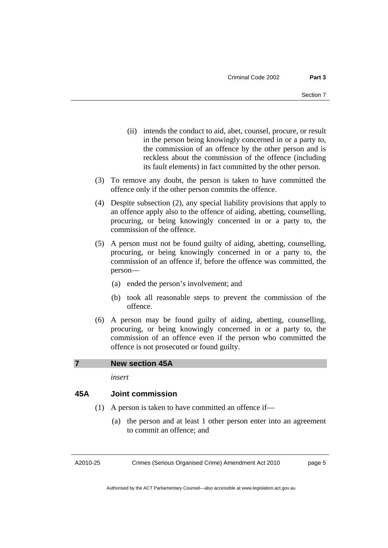- <span id="page-6-0"></span> (ii) intends the conduct to aid, abet, counsel, procure, or result in the person being knowingly concerned in or a party to, the commission of an offence by the other person and is reckless about the commission of the offence (including its fault elements) in fact committed by the other person.
- (3) To remove any doubt, the person is taken to have committed the offence only if the other person commits the offence.
- (4) Despite subsection (2), any special liability provisions that apply to an offence apply also to the offence of aiding, abetting, counselling, procuring, or being knowingly concerned in or a party to, the commission of the offence.
- (5) A person must not be found guilty of aiding, abetting, counselling, procuring, or being knowingly concerned in or a party to, the commission of an offence if, before the offence was committed, the person—
	- (a) ended the person's involvement; and
	- (b) took all reasonable steps to prevent the commission of the offence.
- (6) A person may be found guilty of aiding, abetting, counselling, procuring, or being knowingly concerned in or a party to, the commission of an offence even if the person who committed the offence is not prosecuted or found guilty.

# **7 New section 45A**

*insert* 

# **45A Joint commission**

- (1) A person is taken to have committed an offence if—
	- (a) the person and at least 1 other person enter into an agreement to commit an offence; and

A2010-25

Crimes (Serious Organised Crime) Amendment Act 2010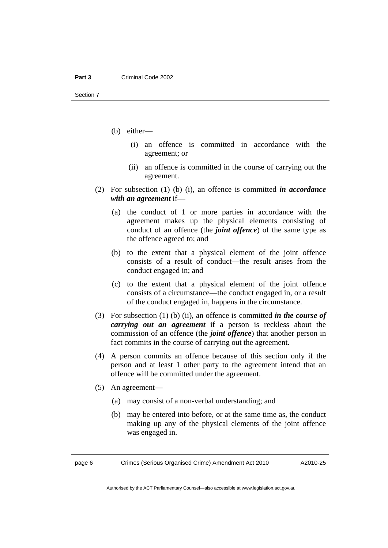- (b) either—
	- (i) an offence is committed in accordance with the agreement; or
	- (ii) an offence is committed in the course of carrying out the agreement.
- (2) For subsection (1) (b) (i), an offence is committed *in accordance with an agreement* if—
	- (a) the conduct of 1 or more parties in accordance with the agreement makes up the physical elements consisting of conduct of an offence (the *joint offence*) of the same type as the offence agreed to; and
	- (b) to the extent that a physical element of the joint offence consists of a result of conduct—the result arises from the conduct engaged in; and
	- (c) to the extent that a physical element of the joint offence consists of a circumstance—the conduct engaged in, or a result of the conduct engaged in, happens in the circumstance.
- (3) For subsection (1) (b) (ii), an offence is committed *in the course of carrying out an agreement* if a person is reckless about the commission of an offence (the *joint offence*) that another person in fact commits in the course of carrying out the agreement.
- (4) A person commits an offence because of this section only if the person and at least 1 other party to the agreement intend that an offence will be committed under the agreement.
- (5) An agreement—
	- (a) may consist of a non-verbal understanding; and
	- (b) may be entered into before, or at the same time as, the conduct making up any of the physical elements of the joint offence was engaged in.

page 6 Crimes (Serious Organised Crime) Amendment Act 2010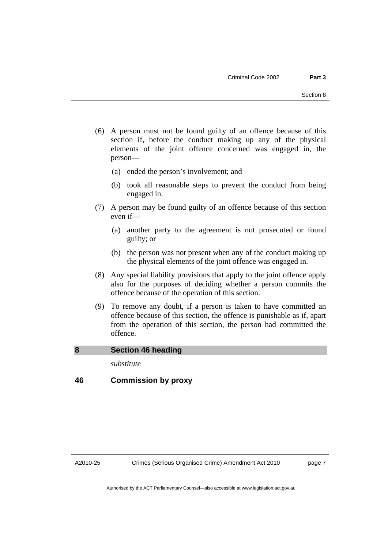- <span id="page-8-0"></span> (6) A person must not be found guilty of an offence because of this section if, before the conduct making up any of the physical elements of the joint offence concerned was engaged in, the person—
	- (a) ended the person's involvement; and
	- (b) took all reasonable steps to prevent the conduct from being engaged in.
- (7) A person may be found guilty of an offence because of this section even if—
	- (a) another party to the agreement is not prosecuted or found guilty; or
	- (b) the person was not present when any of the conduct making up the physical elements of the joint offence was engaged in.
- (8) Any special liability provisions that apply to the joint offence apply also for the purposes of deciding whether a person commits the offence because of the operation of this section.
- (9) To remove any doubt, if a person is taken to have committed an offence because of this section, the offence is punishable as if, apart from the operation of this section, the person had committed the offence.

# **8 Section 46 heading**

*substitute* 

# **46 Commission by proxy**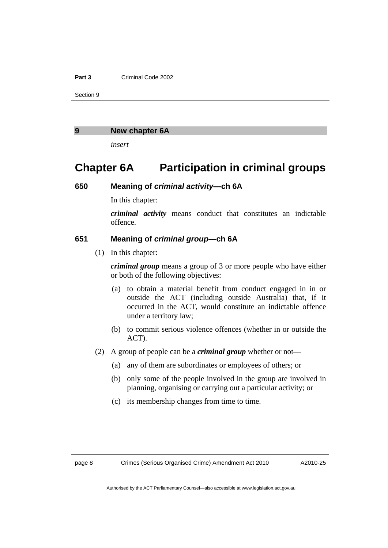#### <span id="page-9-0"></span>**Part 3** Criminal Code 2002

Section 9

#### **9 New chapter 6A**

*insert* 

# **Chapter 6A Participation in criminal groups**

# **650 Meaning of** *criminal activity***—ch 6A**

In this chapter:

*criminal activity* means conduct that constitutes an indictable offence.

# **651 Meaning of** *criminal group***—ch 6A**

(1) In this chapter:

*criminal group* means a group of 3 or more people who have either or both of the following objectives:

- (a) to obtain a material benefit from conduct engaged in in or outside the ACT (including outside Australia) that, if it occurred in the ACT, would constitute an indictable offence under a territory law;
- (b) to commit serious violence offences (whether in or outside the ACT).
- (2) A group of people can be a *criminal group* whether or not—
	- (a) any of them are subordinates or employees of others; or
	- (b) only some of the people involved in the group are involved in planning, organising or carrying out a particular activity; or
	- (c) its membership changes from time to time.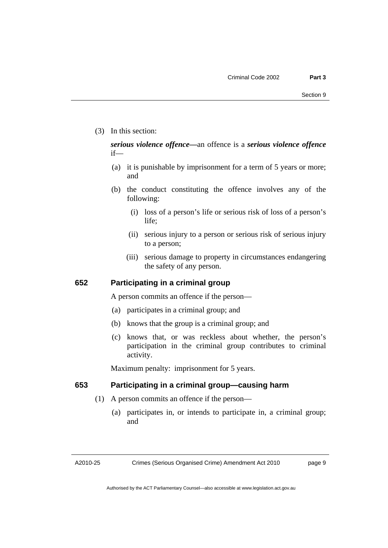(3) In this section:

# *serious violence offence—*an offence is a *serious violence offence* if—

- (a) it is punishable by imprisonment for a term of 5 years or more; and
- (b) the conduct constituting the offence involves any of the following:
	- (i) loss of a person's life or serious risk of loss of a person's life;
	- (ii) serious injury to a person or serious risk of serious injury to a person;
	- (iii) serious damage to property in circumstances endangering the safety of any person.

### **652 Participating in a criminal group**

A person commits an offence if the person—

- (a) participates in a criminal group; and
- (b) knows that the group is a criminal group; and
- (c) knows that, or was reckless about whether, the person's participation in the criminal group contributes to criminal activity.

Maximum penalty: imprisonment for 5 years.

# **653 Participating in a criminal group—causing harm**

- (1) A person commits an offence if the person—
	- (a) participates in, or intends to participate in, a criminal group; and

A2010-25

Crimes (Serious Organised Crime) Amendment Act 2010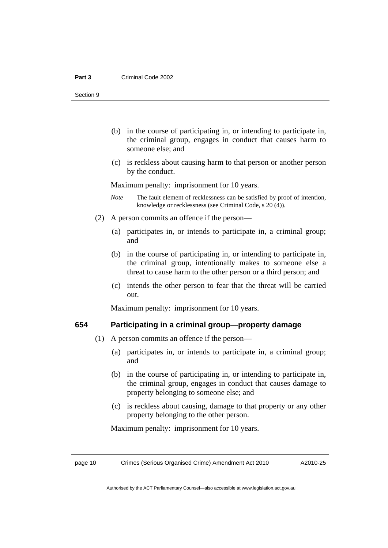Section 9

- (b) in the course of participating in, or intending to participate in, the criminal group, engages in conduct that causes harm to someone else; and
- (c) is reckless about causing harm to that person or another person by the conduct.

Maximum penalty: imprisonment for 10 years.

- *Note* The fault element of recklessness can be satisfied by proof of intention, knowledge or recklessness (see Criminal Code, s 20 (4)).
- (2) A person commits an offence if the person—
	- (a) participates in, or intends to participate in, a criminal group; and
	- (b) in the course of participating in, or intending to participate in, the criminal group, intentionally makes to someone else a threat to cause harm to the other person or a third person; and
	- (c) intends the other person to fear that the threat will be carried out.

Maximum penalty: imprisonment for 10 years.

# **654 Participating in a criminal group—property damage**

- (1) A person commits an offence if the person—
	- (a) participates in, or intends to participate in, a criminal group; and
	- (b) in the course of participating in, or intending to participate in, the criminal group, engages in conduct that causes damage to property belonging to someone else; and
	- (c) is reckless about causing, damage to that property or any other property belonging to the other person.

Maximum penalty: imprisonment for 10 years.

page 10 Crimes (Serious Organised Crime) Amendment Act 2010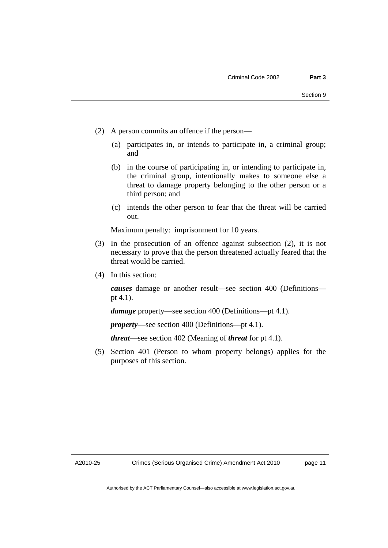- (2) A person commits an offence if the person—
	- (a) participates in, or intends to participate in, a criminal group; and
	- (b) in the course of participating in, or intending to participate in, the criminal group, intentionally makes to someone else a threat to damage property belonging to the other person or a third person; and
	- (c) intends the other person to fear that the threat will be carried out.

Maximum penalty: imprisonment for 10 years.

- (3) In the prosecution of an offence against subsection (2), it is not necessary to prove that the person threatened actually feared that the threat would be carried.
- (4) In this section:

*causes* damage or another result—see section 400 (Definitions pt 4.1).

*damage* property—see section 400 (Definitions—pt 4.1).

*property*—see section 400 (Definitions—pt 4.1).

*threat*—see section 402 (Meaning of *threat* for pt 4.1).

 (5) Section 401 (Person to whom property belongs) applies for the purposes of this section.

A2010-25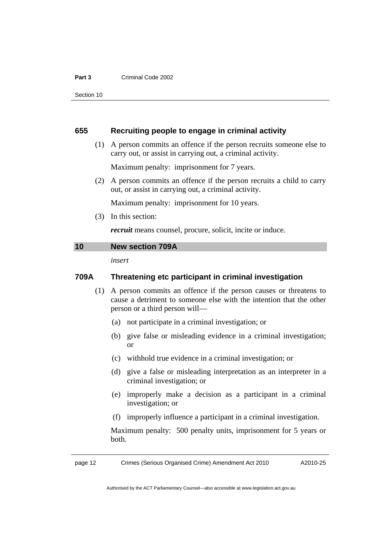#### <span id="page-13-0"></span>**Part 3** Criminal Code 2002

Section 10

### **655 Recruiting people to engage in criminal activity**

 (1) A person commits an offence if the person recruits someone else to carry out, or assist in carrying out, a criminal activity.

Maximum penalty: imprisonment for 7 years.

 (2) A person commits an offence if the person recruits a child to carry out, or assist in carrying out, a criminal activity.

Maximum penalty: imprisonment for 10 years.

(3) In this section:

*recruit* means counsel, procure, solicit, incite or induce.

#### **10 New section 709A**

*insert* 

# **709A Threatening etc participant in criminal investigation**

- (1) A person commits an offence if the person causes or threatens to cause a detriment to someone else with the intention that the other person or a third person will—
	- (a) not participate in a criminal investigation; or
	- (b) give false or misleading evidence in a criminal investigation; or
	- (c) withhold true evidence in a criminal investigation; or
	- (d) give a false or misleading interpretation as an interpreter in a criminal investigation; or
	- (e) improperly make a decision as a participant in a criminal investigation; or
	- (f) improperly influence a participant in a criminal investigation.

Maximum penalty: 500 penalty units, imprisonment for 5 years or both.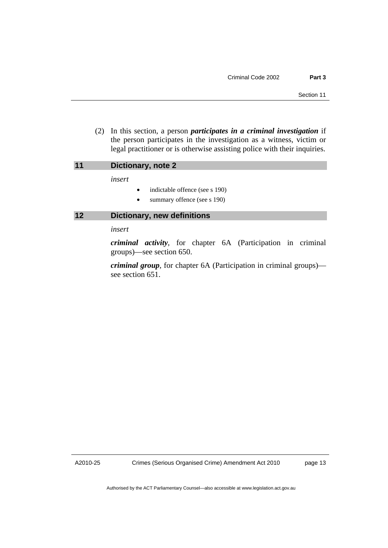<span id="page-14-0"></span> (2) In this section, a person *participates in a criminal investigation* if the person participates in the investigation as a witness, victim or legal practitioner or is otherwise assisting police with their inquiries.

### **11 Dictionary, note 2**

*insert* 

- indictable offence (see s 190)
- summary offence (see s 190)

# **12 Dictionary, new definitions**

*insert* 

*criminal activity*, for chapter 6A (Participation in criminal groups)—see section 650.

*criminal group*, for chapter 6A (Participation in criminal groups) see section 651.

A2010-25